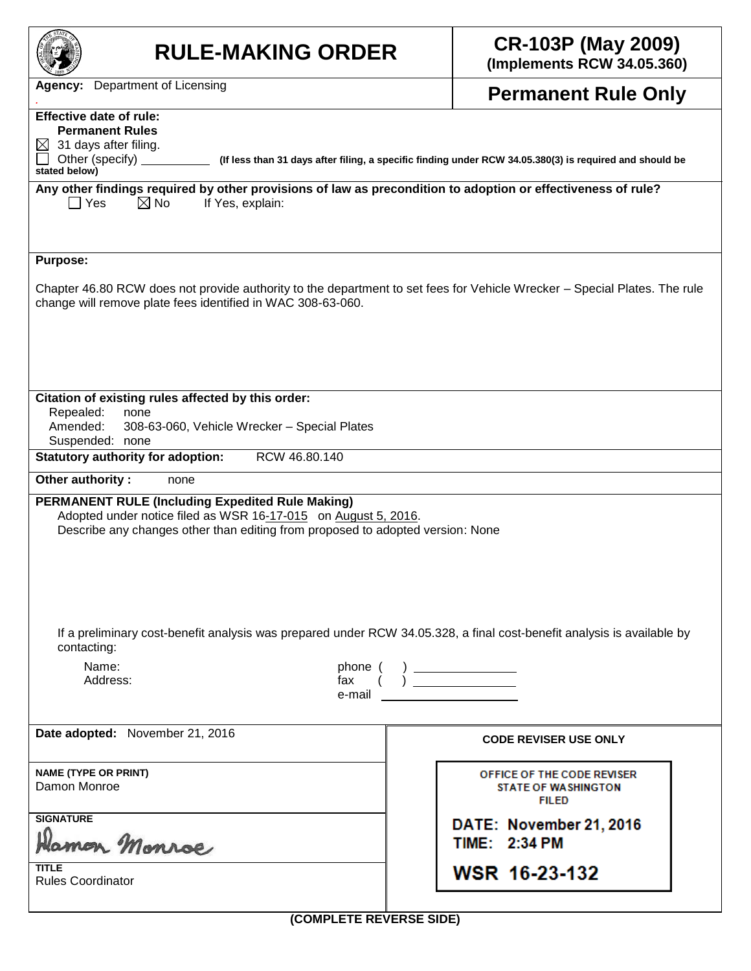| <b>RULE-MAKING ORDER</b>                                                                                                                                                                                                                | <b>CR-103P (May 2009)</b><br>(Implements RCW 34.05.360)                                                 |  |  |  |  |  |  |
|-----------------------------------------------------------------------------------------------------------------------------------------------------------------------------------------------------------------------------------------|---------------------------------------------------------------------------------------------------------|--|--|--|--|--|--|
| <b>Agency:</b> Department of Licensing                                                                                                                                                                                                  | <b>Permanent Rule Only</b>                                                                              |  |  |  |  |  |  |
| <b>Effective date of rule:</b><br><b>Permanent Rules</b><br>31 days after filing.<br>⊠<br>Other (specify)                                                                                                                               | (If less than 31 days after filing, a specific finding under RCW 34.05.380(3) is required and should be |  |  |  |  |  |  |
| stated below)<br>Any other findings required by other provisions of law as precondition to adoption or effectiveness of rule?                                                                                                           |                                                                                                         |  |  |  |  |  |  |
| $\boxtimes$ No<br>$\Box$ Yes<br>If Yes, explain:                                                                                                                                                                                        |                                                                                                         |  |  |  |  |  |  |
| <b>Purpose:</b>                                                                                                                                                                                                                         |                                                                                                         |  |  |  |  |  |  |
| Chapter 46.80 RCW does not provide authority to the department to set fees for Vehicle Wrecker – Special Plates. The rule<br>change will remove plate fees identified in WAC 308-63-060.                                                |                                                                                                         |  |  |  |  |  |  |
| Citation of existing rules affected by this order:<br>Repealed:<br>none<br>Amended:<br>308-63-060, Vehicle Wrecker - Special Plates<br>Suspended: none                                                                                  |                                                                                                         |  |  |  |  |  |  |
| RCW 46.80.140<br><b>Statutory authority for adoption:</b>                                                                                                                                                                               |                                                                                                         |  |  |  |  |  |  |
| Other authority:<br>none<br><b>PERMANENT RULE (Including Expedited Rule Making)</b><br>Adopted under notice filed as WSR 16-17-015 on August 5, 2016.<br>Describe any changes other than editing from proposed to adopted version: None |                                                                                                         |  |  |  |  |  |  |
| If a preliminary cost-benefit analysis was prepared under RCW 34.05.328, a final cost-benefit analysis is available by                                                                                                                  |                                                                                                         |  |  |  |  |  |  |
| contacting:<br>Name:<br>phone (<br>Address:<br>fax<br>e-mail                                                                                                                                                                            |                                                                                                         |  |  |  |  |  |  |
| Date adopted: November 21, 2016                                                                                                                                                                                                         | <b>CODE REVISER USE ONLY</b>                                                                            |  |  |  |  |  |  |
| <b>NAME (TYPE OR PRINT)</b><br>Damon Monroe                                                                                                                                                                                             | OFFICE OF THE CODE REVISER<br><b>STATE OF WASHINGTON</b><br><b>FILED</b>                                |  |  |  |  |  |  |
| <b>SIGNATURE</b><br>Jamon Monroe                                                                                                                                                                                                        | DATE: November 21, 2016<br>TIME: 2:34 PM                                                                |  |  |  |  |  |  |
| <b>TITLE</b><br><b>Rules Coordinator</b>                                                                                                                                                                                                | WSR 16-23-132                                                                                           |  |  |  |  |  |  |
|                                                                                                                                                                                                                                         | (COMPLETE REVERSE SIDE)                                                                                 |  |  |  |  |  |  |